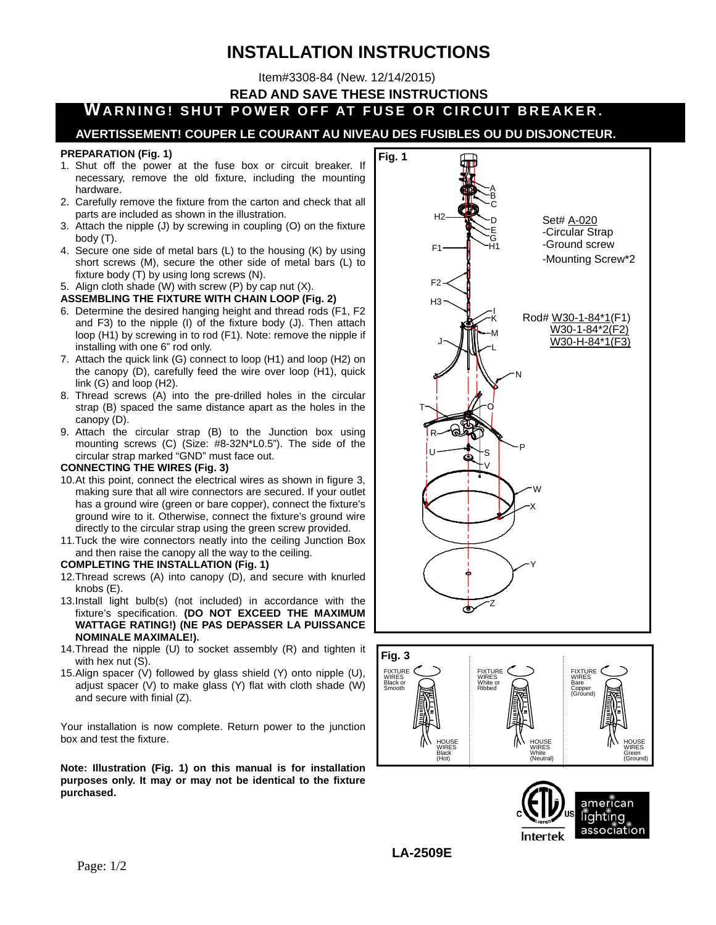# **INSTALLATION INSTRUCTIONS**

Item#3308-84 (New. 12/14/2015)

**READ AND SAVE THESE INSTRUCTIONS**

## **WARNING! SHUT POWER OFF AT FUSE OR CIRCUIT BREAKER.**

### **AVERTISSEMENT! COUPER LE COURANT AU NIVEAU DES FUSIBLES OU DU DISJONCTEUR.**

#### **PREPARATION (Fig. 1)**

- 1. Shut off the power at the fuse box or circuit breaker. If necessary, remove the old fixture, including the mounting hardware.
- 2. Carefully remove the fixture from the carton and check that all parts are included as shown in the illustration.
- 3. Attach the nipple (J) by screwing in coupling (O) on the fixture body (T).
- 4. Secure one side of metal bars (L) to the housing (K) by using short screws (M), secure the other side of metal bars (L) to fixture body (T) by using long screws (N).
- 5. Align cloth shade (W) with screw (P) by cap nut (X).

#### **ASSEMBLING THE FIXTURE WITH CHAIN LOOP (Fig. 2)**

- 6. Determine the desired hanging height and thread rods (F1, F2 and F3) to the nipple (I) of the fixture body (J). Then attach loop (H1) by screwing in to rod (F1). Note: remove the nipple if installing with one 6" rod only.
- 7. Attach the quick link (G) connect to loop (H1) and loop (H2) on the canopy (D), carefully feed the wire over loop (H1), quick link (G) and loop (H2).
- 8. Thread screws (A) into the pre-drilled holes in the circular strap (B) spaced the same distance apart as the holes in the canopy (D).
- 9. Attach the circular strap (B) to the Junction box using mounting screws (C) (Size: #8-32N\*L0.5"). The side of the circular strap marked "GND" must face out.

#### **CONNECTING THE WIRES (Fig. 3)**

- 10. At this point, connect the electrical wires as shown in figure 3, making sure that all wire connectors are secured. If your outlet has a ground wire (green or bare copper), connect the fixture's ground wire to it. Otherwise, connect the fixture's ground wire directly to the circular strap using the green screw provided.
- 11. Tuck the wire connectors neatly into the ceiling Junction Box and then raise the canopy all the way to the ceiling.

#### **COMPLETING THE INSTALLATION (Fig. 1)**

- 12. Thread screws (A) into canopy (D), and secure with knurled knobs (E).
- 13. Install light bulb(s) (not included) in accordance with the fixture's specification. **(DO NOT EXCEED THE MAXIMUM WATTAGE RATING!) (NE PAS DEPASSER LA PUISSANCE NOMINALE MAXIMALE!).**
- 14. Thread the nipple (U) to socket assembly (R) and tighten it with hex nut (S).
- 15. Align spacer (V) followed by glass shield (Y) onto nipple (U), adjust spacer (V) to make glass (Y) flat with cloth shade (W) and secure with finial (Z).

Your installation is now complete. Return power to the junction box and test the fixture.

**Note: Illustration (Fig. 1) on this manual is for installation purposes only. It may or may not be identical to the fixture purchased.**







**LA-2509E**